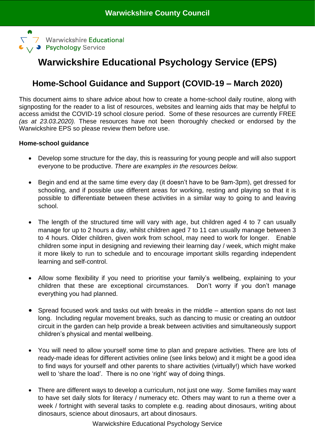

# **Warwickshire Educational Psychology Service (EPS)**

# **Home-School Guidance and Support (COVID-19 – March 2020)**

This document aims to share advice about how to create a home-school daily routine, along with signposting for the reader to a list of resources, websites and learning aids that may be helpful to access amidst the COVID-19 school closure period. Some of these resources are currently FREE *(as at 23.03.2020).* These resources have not been thoroughly checked or endorsed by the Warwickshire EPS so please review them before use.

# **Home-school guidance**

- Develop some structure for the day, this is reassuring for young people and will also support everyone to be productive. *There are examples in the resources below.*
- Begin and end at the same time every day (it doesn't have to be 9am-3pm), get dressed for schooling, and if possible use different areas for working, resting and playing so that it is possible to differentiate between these activities in a similar way to going to and leaving school.
- The length of the structured time will vary with age, but children aged 4 to 7 can usually manage for up to 2 hours a day, whilst children aged 7 to 11 can usually manage between 3 to 4 hours. Older children, given work from school, may need to work for longer. Enable children some input in designing and reviewing their learning day / week, which might make it more likely to run to schedule and to encourage important skills regarding independent learning and self-control.
- Allow some flexibility if you need to prioritise your family's wellbeing, explaining to your children that these are exceptional circumstances. Don't worry if you don't manage everything you had planned.
- Spread focused work and tasks out with breaks in the middle attention spans do not last long. Including regular movement breaks, such as dancing to music or creating an outdoor circuit in the garden can help provide a break between activities and simultaneously support children's physical and mental wellbeing.
- You will need to allow yourself some time to plan and prepare activities. There are lots of ready-made ideas for different activities online (see links below) and it might be a good idea to find ways for yourself and other parents to share activities (virtually!) which have worked well to 'share the load'. There is no one 'right' way of doing things.
- There are different ways to develop a curriculum, not just one way. Some families may want to have set daily slots for literacy / numeracy etc. Others may want to run a theme over a week / fortnight with several tasks to complete e.g. reading about dinosaurs, writing about dinosaurs, science about dinosaurs, art about dinosaurs.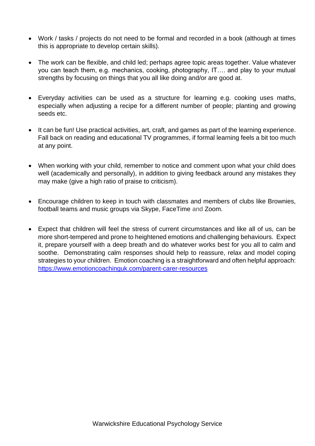- Work / tasks / projects do not need to be formal and recorded in a book (although at times this is appropriate to develop certain skills).
- The work can be flexible, and child led; perhaps agree topic areas together. Value whatever you can teach them, e.g. mechanics, cooking, photography, IT…. and play to your mutual strengths by focusing on things that you all like doing and/or are good at.
- Everyday activities can be used as a structure for learning e.g. cooking uses maths, especially when adjusting a recipe for a different number of people; planting and growing seeds etc.
- It can be fun! Use practical activities, art, craft, and games as part of the learning experience. Fall back on reading and educational TV programmes, if formal learning feels a bit too much at any point.
- When working with your child, remember to notice and comment upon what your child does well (academically and personally), in addition to giving feedback around any mistakes they may make (give a high ratio of praise to criticism).
- Encourage children to keep in touch with classmates and members of clubs like Brownies, football teams and music groups via Skype, FaceTime and Zoom.
- Expect that children will feel the stress of current circumstances and like all of us, can be more short-tempered and prone to heightened emotions and challenging behaviours. Expect it, prepare yourself with a deep breath and do whatever works best for you all to calm and soothe. Demonstrating calm responses should help to reassure, relax and model coping strategies to your children. Emotion coaching is a straightforward and often helpful approach: <https://www.emotioncoachinguk.com/parent-carer-resources>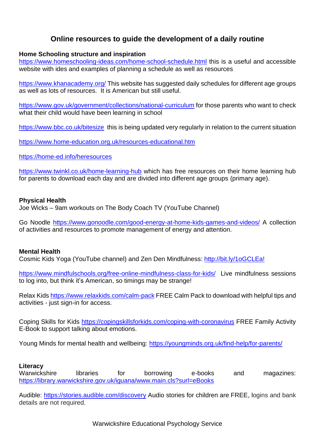# **Online resources to guide the development of a daily routine**

# **Home Schooling structure and inspiration**

<https://www.homeschooling-ideas.com/home-school-schedule.html> this is a useful and accessible website with ides and examples of planning a schedule as well as resources

<https://www.khanacademy.org/> This website has suggested daily schedules for different age groups as well as lots of resources. It is American but still useful.

<https://www.gov.uk/government/collections/national-curriculum> for those parents who want to check what their child would have been learning in school

<https://www.bbc.co.uk/bitesize>this is being updated very regularly in relation to the current situation

<https://www.home-education.org.uk/resources-educational.htm>

<https://home-ed.info/heresources>

<https://www.twinkl.co.uk/home-learning-hub> which has free resources on their home learning hub for parents to download each day and are divided into different age groups (primary age).

### **Physical Health**

Joe Wicks – 9am workouts on The Body Coach TV (YouTube Channel)

Go Noodle<https://www.gonoodle.com/good-energy-at-home-kids-games-and-videos/> A collection of activities and resources to promote management of energy and attention.

### **Mental Health**

Cosmic Kids Yoga (YouTube channel) and Zen Den Mindfulness: [http://bit.ly/1oGCLEa!](https://www.youtube.com/redirect?redir_token=C6UdjwQHzblEBrDf77-ZoXxasbB8MTU4NTA1MjI1OEAxNTg0OTY1ODU4&q=http%3A%2F%2Fbit.ly%2F1oGCLEa%21&event=video_description&v=0ImHIWzP49M)

<https://www.mindfulschools.org/free-online-mindfulness-class-for-kids/>Live mindfulness sessions to log into, but think it's American, so timings may be strange!

Relax Kids <https://www.relaxkids.com/calm-pack> FREE Calm Pack to download with helpful tips and activities - just sign-in for access.

Coping Skills for Kids<https://copingskillsforkids.com/coping-with-coronavirus> FREE Family Activity E-Book to support talking about emotions.

Young Minds for mental health and wellbeing: <https://youngminds.org.uk/find-help/for-parents/>

# **Literacy**

Warwickshire libraries for borrowing e-books and magazines: <https://library.warwickshire.gov.uk/iguana/www.main.cls?surl=eBooks>

Audible: <https://stories.audible.com/discovery> Audio stories for children are FREE, logins and bank details are not required.